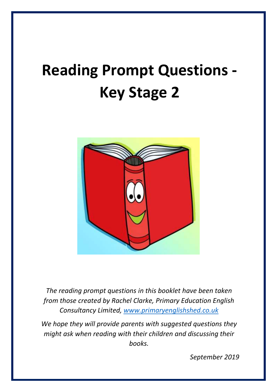# **Reading Prompt Questions - Key Stage 2**



*The reading prompt questions in this booklet have been taken from those created by Rachel Clarke, Primary Education English Consultancy Limited, [www.primaryenglishshed.co.uk](http://www.primaryenglishshed.co.uk/)*

*We hope they will provide parents with suggested questions they might ask when reading with their children and discussing their books.*

*September 2019*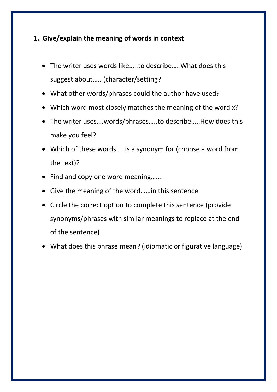#### **1. Give/explain the meaning of words in context**

- The writer uses words like…..to describe…. What does this suggest about….. (character/setting?
- What other words/phrases could the author have used?
- Which word most closely matches the meaning of the word x?
- The writer uses….words/phrases…..to describe…..How does this make you feel?
- Which of these words…..is a synonym for (choose a word from the text)?
- Find and copy one word meaning.......
- Give the meaning of the word……in this sentence
- Circle the correct option to complete this sentence (provide synonyms/phrases with similar meanings to replace at the end of the sentence)
- What does this phrase mean? (idiomatic or figurative language)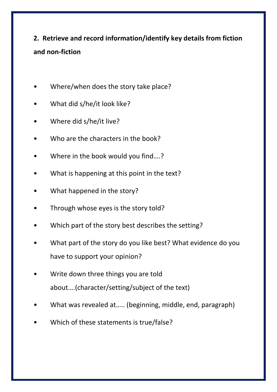## **2. Retrieve and record information/identify key details from fiction and non-fiction**

- Where/when does the story take place?
- What did s/he/it look like?
- Where did s/he/it live?
- Who are the characters in the book?
- Where in the book would you find....?
- What is happening at this point in the text?
- What happened in the story?
- Through whose eyes is the story told?
- Which part of the story best describes the setting?
- What part of the story do you like best? What evidence do you have to support your opinion?
- Write down three things you are told about….(character/setting/subject of the text)
- What was revealed at..... (beginning, middle, end, paragraph)
- Which of these statements is true/false?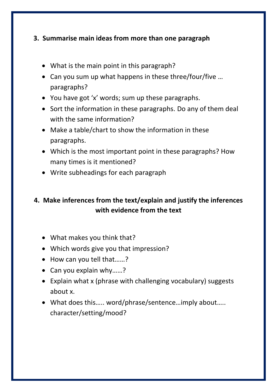#### **3. Summarise main ideas from more than one paragraph**

- What is the main point in this paragraph?
- Can you sum up what happens in these three/four/five … paragraphs?
- You have got 'x' words; sum up these paragraphs.
- Sort the information in these paragraphs. Do any of them deal with the same information?
- Make a table/chart to show the information in these paragraphs.
- Which is the most important point in these paragraphs? How many times is it mentioned?
- Write subheadings for each paragraph

## **4. Make inferences from the text/explain and justify the inferences with evidence from the text**

- What makes you think that?
- Which words give you that impression?
- How can you tell that......?
- Can you explain why……?
- Explain what x (phrase with challenging vocabulary) suggests about x.
- What does this….. word/phrase/sentence…imply about….. character/setting/mood?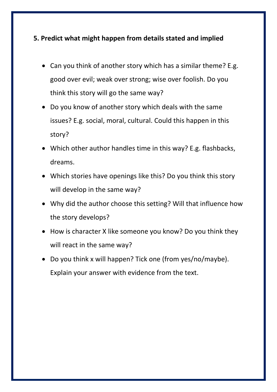#### **5. Predict what might happen from details stated and implied**

- Can you think of another story which has a similar theme? E.g. good over evil; weak over strong; wise over foolish. Do you think this story will go the same way?
- Do you know of another story which deals with the same issues? E.g. social, moral, cultural. Could this happen in this story?
- Which other author handles time in this way? E.g. flashbacks, dreams.
- Which stories have openings like this? Do you think this story will develop in the same way?
- Why did the author choose this setting? Will that influence how the story develops?
- How is character X like someone you know? Do you think they will react in the same way?
- Do you think x will happen? Tick one (from yes/no/maybe). Explain your answer with evidence from the text.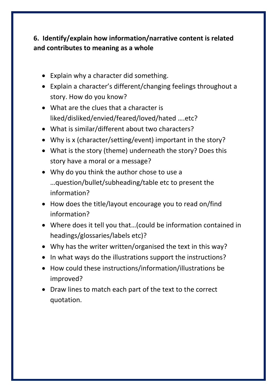## **6. Identify/explain how information/narrative content is related and contributes to meaning as a whole**

- Explain why a character did something.
- Explain a character's different/changing feelings throughout a story. How do you know?
- What are the clues that a character is liked/disliked/envied/feared/loved/hated ….etc?
- What is similar/different about two characters?
- Why is x (character/setting/event) important in the story?
- What is the story (theme) underneath the story? Does this story have a moral or a message?
- Why do you think the author chose to use a …question/bullet/subheading/table etc to present the information?
- How does the title/layout encourage you to read on/find information?
- Where does it tell you that…(could be information contained in headings/glossaries/labels etc)?
- Why has the writer written/organised the text in this way?
- In what ways do the illustrations support the instructions?
- How could these instructions/information/illustrations be improved?
- Draw lines to match each part of the text to the correct quotation.